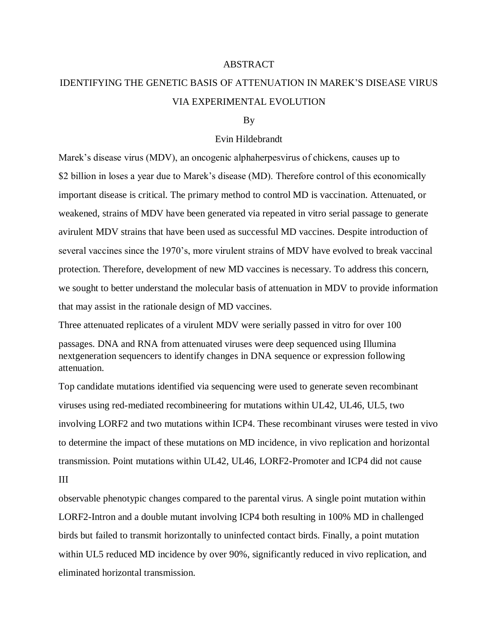## ABSTRACT

## IDENTIFYING THE GENETIC BASIS OF ATTENUATION IN MAREK'S DISEASE VIRUS VIA EXPERIMENTAL EVOLUTION

## By

## Evin Hildebrandt

Marek's disease virus (MDV), an oncogenic alphaherpesvirus of chickens, causes up to \$2 billion in loses a year due to Marek's disease (MD). Therefore control of this economically important disease is critical. The primary method to control MD is vaccination. Attenuated, or weakened, strains of MDV have been generated via repeated in vitro serial passage to generate avirulent MDV strains that have been used as successful MD vaccines. Despite introduction of several vaccines since the 1970's, more virulent strains of MDV have evolved to break vaccinal protection. Therefore, development of new MD vaccines is necessary. To address this concern, we sought to better understand the molecular basis of attenuation in MDV to provide information that may assist in the rationale design of MD vaccines.

Three attenuated replicates of a virulent MDV were serially passed in vitro for over 100

passages. DNA and RNA from attenuated viruses were deep sequenced using Illumina nextgeneration sequencers to identify changes in DNA sequence or expression following attenuation.

Top candidate mutations identified via sequencing were used to generate seven recombinant viruses using red-mediated recombineering for mutations within UL42, UL46, UL5, two involving LORF2 and two mutations within ICP4. These recombinant viruses were tested in vivo to determine the impact of these mutations on MD incidence, in vivo replication and horizontal transmission. Point mutations within UL42, UL46, LORF2-Promoter and ICP4 did not cause III

observable phenotypic changes compared to the parental virus. A single point mutation within LORF2-Intron and a double mutant involving ICP4 both resulting in 100% MD in challenged birds but failed to transmit horizontally to uninfected contact birds. Finally, a point mutation within UL5 reduced MD incidence by over 90%, significantly reduced in vivo replication, and eliminated horizontal transmission.